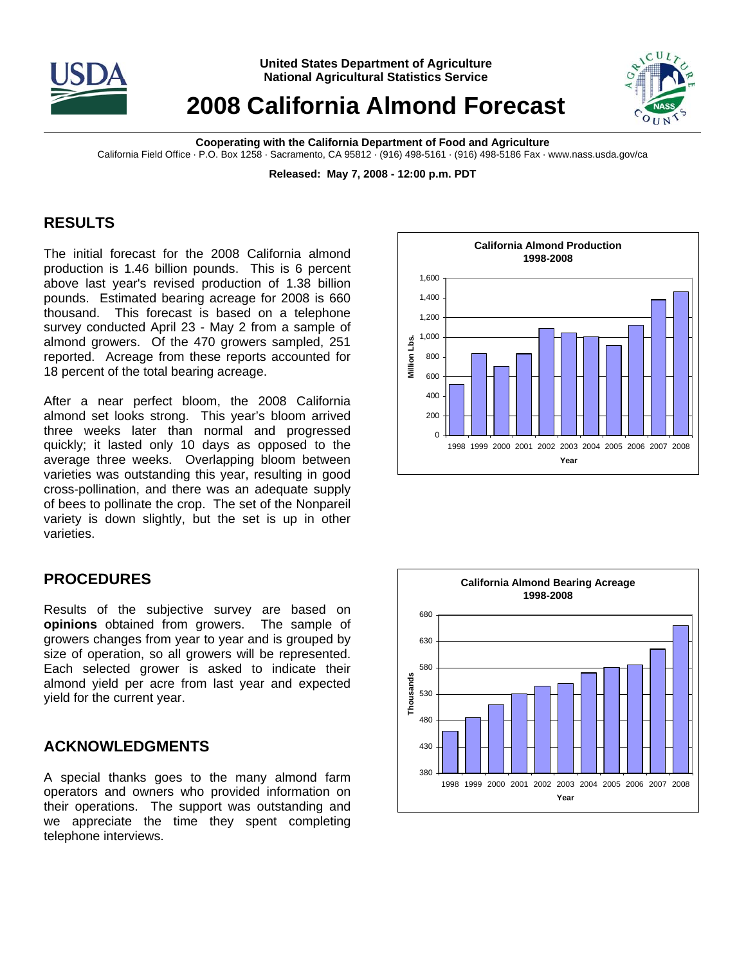

**United States Department of Agriculture National Agricultural Statistics Service**

# **2008 California Almond Forecast**



**Cooperating with the California Department of Food and Agriculture**  California Field Office · P.O. Box 1258 · Sacramento, CA 95812 · (916) 498-5161 · (916) 498-5186 Fax · www.nass.usda.gov/ca

**Released: May 7, 2008 - 12:00 p.m. PDT** 

## **RESULTS**

The initial forecast for the 2008 California almond production is 1.46 billion pounds. This is 6 percent above last year's revised production of 1.38 billion pounds. Estimated bearing acreage for 2008 is 660 thousand. This forecast is based on a telephone survey conducted April 23 - May 2 from a sample of almond growers. Of the 470 growers sampled, 251 reported. Acreage from these reports accounted for 18 percent of the total bearing acreage.

After a near perfect bloom, the 2008 California almond set looks strong. This year's bloom arrived three weeks later than normal and progressed quickly; it lasted only 10 days as opposed to the average three weeks. Overlapping bloom between varieties was outstanding this year, resulting in good cross-pollination, and there was an adequate supply of bees to pollinate the crop. The set of the Nonpareil variety is down slightly, but the set is up in other varieties.

### **PROCEDURES**

Results of the subjective survey are based on **opinions** obtained from growers. The sample of growers changes from year to year and is grouped by size of operation, so all growers will be represented. Each selected grower is asked to indicate their almond yield per acre from last year and expected yield for the current year.

### **ACKNOWLEDGMENTS**

A special thanks goes to the many almond farm operators and owners who provided information on their operations. The support was outstanding and we appreciate the time they spent completing telephone interviews.